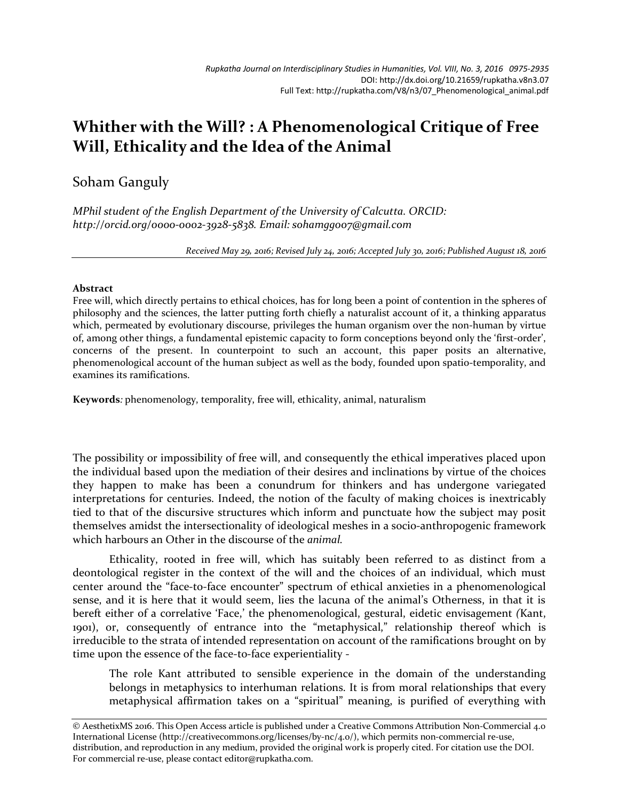## **Whither with the Will? : A Phenomenological Critique of Free Will, Ethicality and the Idea of the Animal**

Soham Ganguly

*MPhil student of the English Department of the University of Calcutta. ORCID: http://orcid.org/0000-0002-3928-5838. Email: sohamgg007@gmail.com*

*Received May 29, 2016; Revised July 24, 2016; Accepted July 30, 2016; Published August 18, 2016*

## **Abstract**

Free will, which directly pertains to ethical choices, has for long been a point of contention in the spheres of philosophy and the sciences, the latter putting forth chiefly a naturalist account of it, a thinking apparatus which, permeated by evolutionary discourse, privileges the human organism over the non-human by virtue of, among other things, a fundamental epistemic capacity to form conceptions beyond only the 'first-order', concerns of the present. In counterpoint to such an account, this paper posits an alternative, phenomenological account of the human subject as well as the body, founded upon spatio-temporality, and examines its ramifications.

**Keywords***:* phenomenology, temporality, free will, ethicality, animal, naturalism

The possibility or impossibility of free will, and consequently the ethical imperatives placed upon the individual based upon the mediation of their desires and inclinations by virtue of the choices they happen to make has been a conundrum for thinkers and has undergone variegated interpretations for centuries. Indeed, the notion of the faculty of making choices is inextricably tied to that of the discursive structures which inform and punctuate how the subject may posit themselves amidst the intersectionality of ideological meshes in a socio-anthropogenic framework which harbours an Other in the discourse of the *animal.*

Ethicality, rooted in free will, which has suitably been referred to as distinct from a deontological register in the context of the will and the choices of an individual, which must center around the "face-to-face encounter" spectrum of ethical anxieties in a phenomenological sense, and it is here that it would seem, lies the lacuna of the animal's Otherness, in that it is bereft either of a correlative 'Face,' the phenomenological, gestural, eidetic envisagement *(*Kant, 1901), or, consequently of entrance into the "metaphysical," relationship thereof which is irreducible to the strata of intended representation on account of the ramifications brought on by time upon the essence of the face-to-face experientiality -

The role Kant attributed to sensible experience in the domain of the understanding belongs in metaphysics to interhuman relations. It is from moral relationships that every metaphysical affirmation takes on a "spiritual" meaning, is purified of everything with

© AesthetixMS 2016. This Open Access article is published under a Creative Commons Attribution Non-Commercial 4.0 International License (http://creativecommons.org/licenses/by-nc/4.0/), which permits non-commercial re-use, distribution, and reproduction in any medium, provided the original work is properly cited. For citation use the DOI. For commercial re-use, please contact editor@rupkatha.com.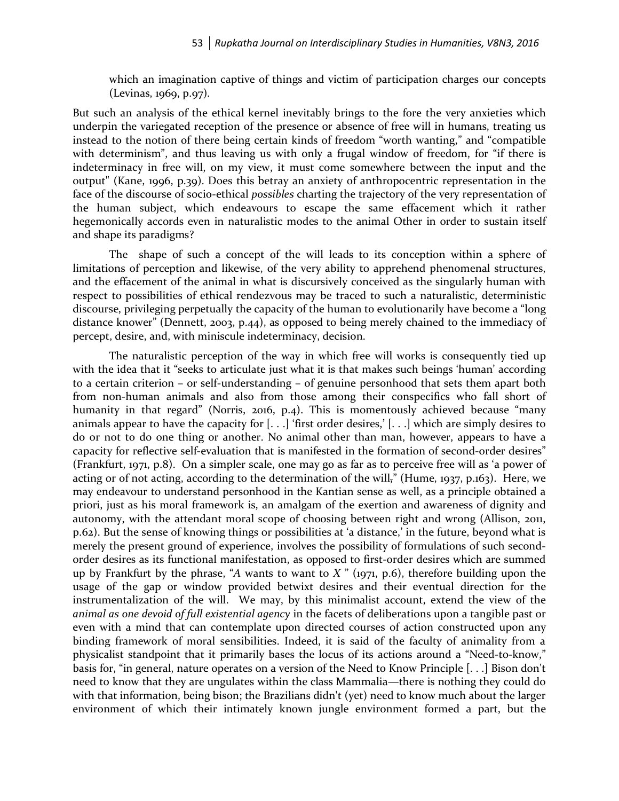which an imagination captive of things and victim of participation charges our concepts (Levinas, 1969, p.97).

But such an analysis of the ethical kernel inevitably brings to the fore the very anxieties which underpin the variegated reception of the presence or absence of free will in humans, treating us instead to the notion of there being certain kinds of freedom "worth wanting," and "compatible with determinism", and thus leaving us with only a frugal window of freedom, for "if there is indeterminacy in free will, on my view, it must come somewhere between the input and the output" (Kane, 1996, p.39). Does this betray an anxiety of anthropocentric representation in the face of the discourse of socio-ethical *possibles* charting the trajectory of the very representation of the human subject, which endeavours to escape the same effacement which it rather hegemonically accords even in naturalistic modes to the animal Other in order to sustain itself and shape its paradigms?

The shape of such a concept of the will leads to its conception within a sphere of limitations of perception and likewise, of the very ability to apprehend phenomenal structures, and the effacement of the animal in what is discursively conceived as the singularly human with respect to possibilities of ethical rendezvous may be traced to such a naturalistic, deterministic discourse, privileging perpetually the capacity of the human to evolutionarily have become a "long distance knower" (Dennett, 2003, p.44), as opposed to being merely chained to the immediacy of percept, desire, and, with miniscule indeterminacy, decision.

The naturalistic perception of the way in which free will works is consequently tied up with the idea that it "seeks to articulate just what it is that makes such beings 'human' according to a certain criterion – or self-understanding – of genuine personhood that sets them apart both from non-human animals and also from those among their conspecifics who fall short of humanity in that regard" (Norris, 2016, p.4). This is momentously achieved because "many animals appear to have the capacity for [. . .] 'first order desires,' [. . .] which are simply desires to do or not to do one thing or another. No animal other than man, however, appears to have a capacity for reflective self-evaluation that is manifested in the formation of second-order desires" (Frankfurt, 1971, p.8). On a simpler scale, one may go as far as to perceive free will as 'a power of acting or of not acting, according to the determination of the will," (Hume, 1937, p.163). Here, we may endeavour to understand personhood in the Kantian sense as well, as a principle obtained a priori, just as his moral framework is, an amalgam of the exertion and awareness of dignity and autonomy, with the attendant moral scope of choosing between right and wrong (Allison, 2011, p.62). But the sense of knowing things or possibilities at 'a distance,' in the future, beyond what is merely the present ground of experience, involves the possibility of formulations of such secondorder desires as its functional manifestation, as opposed to first-order desires which are summed up by Frankfurt by the phrase, "*A* wants to want to *X* " (1971, p.6), therefore building upon the usage of the gap or window provided betwixt desires and their eventual direction for the instrumentalization of the will. We may, by this minimalist account, extend the view of the *animal as one devoid of full existential agency* in the facets of deliberations upon a tangible past or even with a mind that can contemplate upon directed courses of action constructed upon any binding framework of moral sensibilities. Indeed, it is said of the faculty of animality from a physicalist standpoint that it primarily bases the locus of its actions around a "Need-to-know," basis for, "in general, nature operates on a version of the Need to Know Principle [. . .] Bison don't need to know that they are ungulates within the class Mammalia—there is nothing they could do with that information, being bison; the Brazilians didn't (yet) need to know much about the larger environment of which their intimately known jungle environment formed a part, but the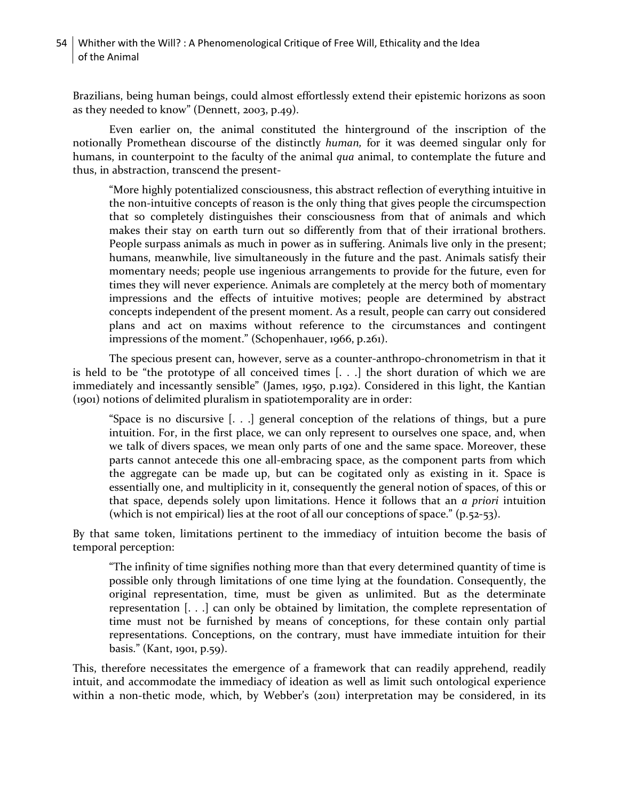Brazilians, being human beings, could almost effortlessly extend their epistemic horizons as soon as they needed to know" (Dennett, 2003, p.49).

Even earlier on, the animal constituted the hinterground of the inscription of the notionally Promethean discourse of the distinctly *human,* for it was deemed singular only for humans, in counterpoint to the faculty of the animal *qua* animal, to contemplate the future and thus, in abstraction, transcend the present-

"More highly potentialized consciousness, this abstract reflection of everything intuitive in the non-intuitive concepts of reason is the only thing that gives people the circumspection that so completely distinguishes their consciousness from that of animals and which makes their stay on earth turn out so differently from that of their irrational brothers. People surpass animals as much in power as in suffering. Animals live only in the present; humans, meanwhile, live simultaneously in the future and the past. Animals satisfy their momentary needs; people use ingenious arrangements to provide for the future, even for times they will never experience. Animals are completely at the mercy both of momentary impressions and the effects of intuitive motives; people are determined by abstract concepts independent of the present moment. As a result, people can carry out considered plans and act on maxims without reference to the circumstances and contingent impressions of the moment." (Schopenhauer, 1966, p.261).

The specious present can, however, serve as a counter-anthropo-chronometrism in that it is held to be "the prototype of all conceived times [. . .] the short duration of which we are immediately and incessantly sensible" (James, 1950, p.192). Considered in this light, the Kantian (1901) notions of delimited pluralism in spatiotemporality are in order:

"Space is no discursive [. . .] general conception of the relations of things, but a pure intuition. For, in the first place, we can only represent to ourselves one space, and, when we talk of divers spaces, we mean only parts of one and the same space. Moreover, these parts cannot antecede this one all-embracing space, as the component parts from which the aggregate can be made up, but can be cogitated only as existing in it. Space is essentially one, and multiplicity in it, consequently the general notion of spaces, of this or that space, depends solely upon limitations. Hence it follows that an *a priori* intuition (which is not empirical) lies at the root of all our conceptions of space." (p.52-53).

By that same token, limitations pertinent to the immediacy of intuition become the basis of temporal perception:

"The infinity of time signifies nothing more than that every determined quantity of time is possible only through limitations of one time lying at the foundation. Consequently, the original representation, time, must be given as unlimited. But as the determinate representation [. . .] can only be obtained by limitation, the complete representation of time must not be furnished by means of conceptions, for these contain only partial representations. Conceptions, on the contrary, must have immediate intuition for their basis." (Kant, 1901, p.59).

This, therefore necessitates the emergence of a framework that can readily apprehend, readily intuit, and accommodate the immediacy of ideation as well as limit such ontological experience within a non-thetic mode, which, by Webber's (2011) interpretation may be considered, in its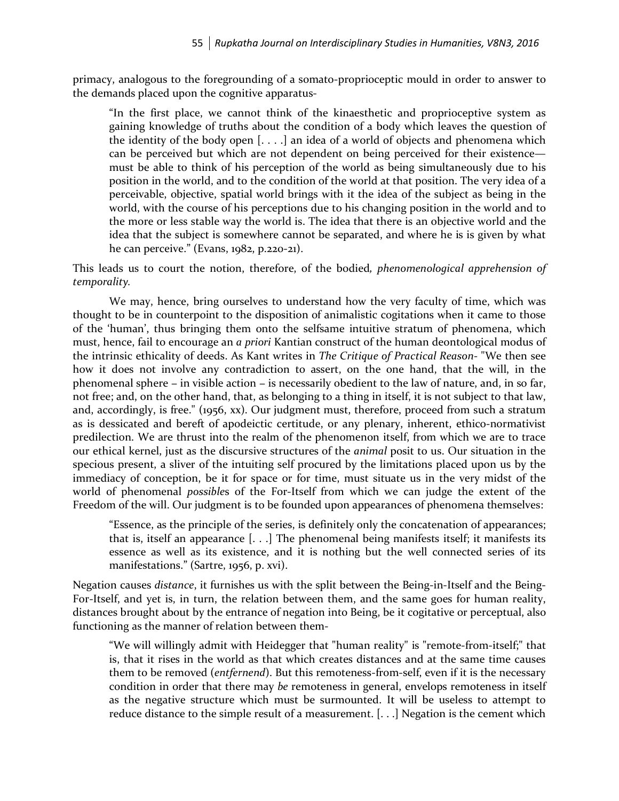primacy, analogous to the foregrounding of a somato-proprioceptic mould in order to answer to the demands placed upon the cognitive apparatus-

"In the first place, we cannot think of the kinaesthetic and proprioceptive system as gaining knowledge of truths about the condition of a body which leaves the question of the identity of the body open  $[\ldots]$  an idea of a world of objects and phenomena which can be perceived but which are not dependent on being perceived for their existence must be able to think of his perception of the world as being simultaneously due to his position in the world, and to the condition of the world at that position. The very idea of a perceivable, objective, spatial world brings with it the idea of the subject as being in the world, with the course of his perceptions due to his changing position in the world and to the more or less stable way the world is. The idea that there is an objective world and the idea that the subject is somewhere cannot be separated, and where he is is given by what he can perceive." (Evans, 1982, p.220-21).

This leads us to court the notion, therefore, of the bodied*, phenomenological apprehension of temporality.*

We may, hence, bring ourselves to understand how the very faculty of time, which was thought to be in counterpoint to the disposition of animalistic cogitations when it came to those of the 'human', thus bringing them onto the selfsame intuitive stratum of phenomena, which must, hence, fail to encourage an *a priori* Kantian construct of the human deontological modus of the intrinsic ethicality of deeds. As Kant writes in *The Critique of Practical Reason-* "We then see how it does not involve any contradiction to assert, on the one hand, that the will, in the phenomenal sphere – in visible action – is necessarily obedient to the law of nature, and, in so far, not free; and, on the other hand, that, as belonging to a thing in itself, it is not subject to that law, and, accordingly, is free." (1956, xx). Our judgment must, therefore, proceed from such a stratum as is dessicated and bereft of apodeictic certitude, or any plenary, inherent, ethico-normativist predilection. We are thrust into the realm of the phenomenon itself, from which we are to trace our ethical kernel, just as the discursive structures of the *animal* posit to us. Our situation in the specious present, a sliver of the intuiting self procured by the limitations placed upon us by the immediacy of conception, be it for space or for time, must situate us in the very midst of the world of phenomenal *possible*s of the For-Itself from which we can judge the extent of the Freedom of the will. Our judgment is to be founded upon appearances of phenomena themselves:

"Essence, as the principle of the series, is definitely only the concatenation of appearances; that is, itself an appearance [. . .] The phenomenal being manifests itself; it manifests its essence as well as its existence, and it is nothing but the well connected series of its manifestations." (Sartre, 1956, p. xvi).

Negation causes *distance*, it furnishes us with the split between the Being-in-Itself and the Being-For-Itself, and yet is, in turn, the relation between them, and the same goes for human reality, distances brought about by the entrance of negation into Being, be it cogitative or perceptual, also functioning as the manner of relation between them-

"We will willingly admit with Heidegger that "human reality" is "remote-from-itself;" that is, that it rises in the world as that which creates distances and at the same time causes them to be removed (*entfernend*). But this remoteness-from-self, even if it is the necessary condition in order that there may *be* remoteness in general, envelops remoteness in itself as the negative structure which must be surmounted. It will be useless to attempt to reduce distance to the simple result of a measurement. [. . .] Negation is the cement which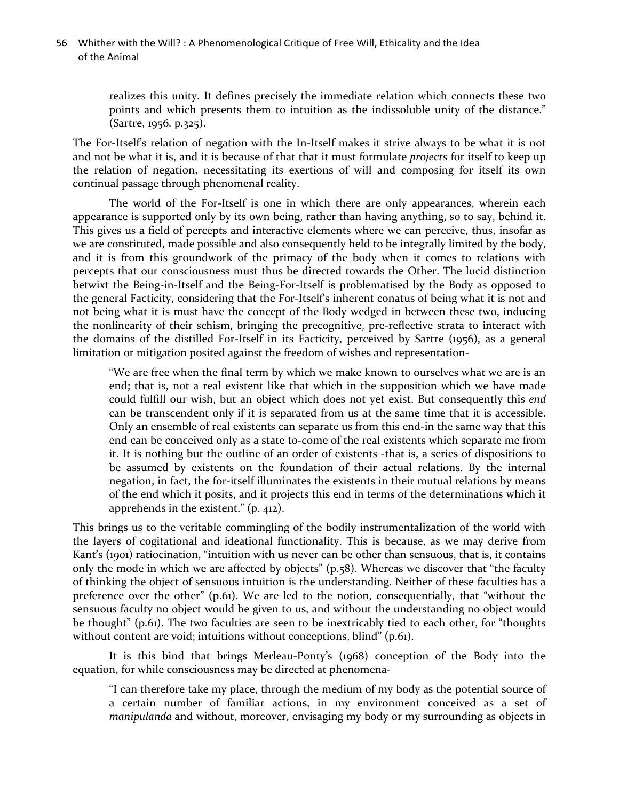realizes this unity. It defines precisely the immediate relation which connects these two points and which presents them to intuition as the indissoluble unity of the distance." (Sartre, 1956, p.325).

The For-Itself's relation of negation with the In-Itself makes it strive always to be what it is not and not be what it is, and it is because of that that it must formulate *projects* for itself to keep up the relation of negation, necessitating its exertions of will and composing for itself its own continual passage through phenomenal reality.

The world of the For-Itself is one in which there are only appearances, wherein each appearance is supported only by its own being, rather than having anything, so to say, behind it. This gives us a field of percepts and interactive elements where we can perceive, thus, insofar as we are constituted, made possible and also consequently held to be integrally limited by the body, and it is from this groundwork of the primacy of the body when it comes to relations with percepts that our consciousness must thus be directed towards the Other. The lucid distinction betwixt the Being-in-Itself and the Being-For-Itself is problematised by the Body as opposed to the general Facticity, considering that the For-Itself's inherent conatus of being what it is not and not being what it is must have the concept of the Body wedged in between these two, inducing the nonlinearity of their schism, bringing the precognitive, pre-reflective strata to interact with the domains of the distilled For-Itself in its Facticity, perceived by Sartre (1956), as a general limitation or mitigation posited against the freedom of wishes and representation-

"We are free when the final term by which we make known to ourselves what we are is an end; that is, not a real existent like that which in the supposition which we have made could fulfill our wish, but an object which does not yet exist. But consequently this *end*  can be transcendent only if it is separated from us at the same time that it is accessible. Only an ensemble of real existents can separate us from this end-in the same way that this end can be conceived only as a state to-come of the real existents which separate me from it. It is nothing but the outline of an order of existents -that is, a series of dispositions to be assumed by existents on the foundation of their actual relations. By the internal negation, in fact, the for-itself illuminates the existents in their mutual relations by means of the end which it posits, and it projects this end in terms of the determinations which it apprehends in the existent." (p. 412).

This brings us to the veritable commingling of the bodily instrumentalization of the world with the layers of cogitational and ideational functionality. This is because, as we may derive from Kant's (1901) ratiocination, "intuition with us never can be other than sensuous, that is, it contains only the mode in which we are affected by objects" (p.58). Whereas we discover that "the faculty of thinking the object of sensuous intuition is the understanding. Neither of these faculties has a preference over the other" (p.61). We are led to the notion, consequentially, that "without the sensuous faculty no object would be given to us, and without the understanding no object would be thought" (p.61). The two faculties are seen to be inextricably tied to each other, for "thoughts without content are void; intuitions without conceptions, blind" (p.61).

It is this bind that brings Merleau-Ponty's (1968) conception of the Body into the equation, for while consciousness may be directed at phenomena-

"I can therefore take my place, through the medium of my body as the potential source of a certain number of familiar actions, in my environment conceived as a set of *manipulanda* and without, moreover, envisaging my body or my surrounding as objects in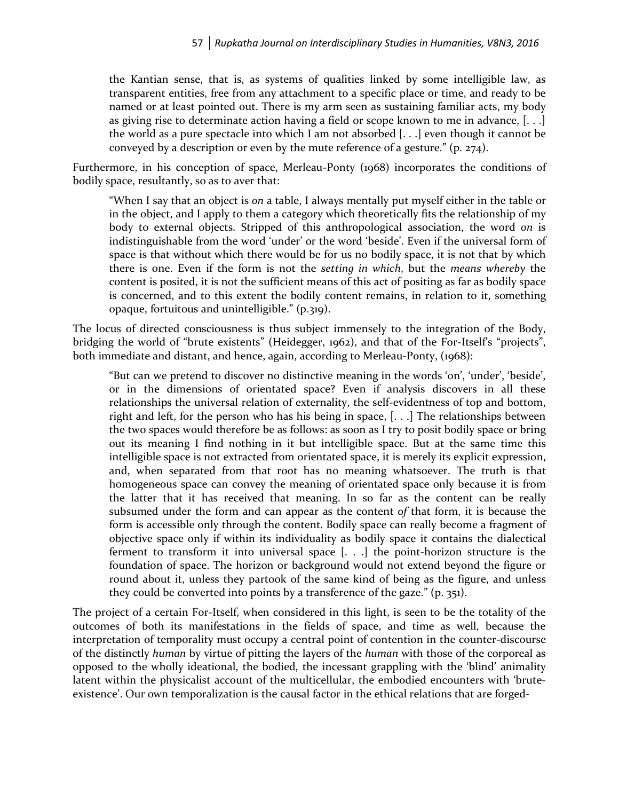the Kantian sense, that is, as systems of qualities linked by some intelligible law, as transparent entities, free from any attachment to a specific place or time, and ready to be named or at least pointed out. There is my arm seen as sustaining familiar acts, my body as giving rise to determinate action having a field or scope known to me in advance, [. . .] the world as a pure spectacle into which I am not absorbed [. . .] even though it cannot be conveyed by a description or even by the mute reference of a gesture." (p. 274).

Furthermore, in his conception of space, Merleau-Ponty (1968) incorporates the conditions of bodily space, resultantly, so as to aver that:

"When I say that an object is *on* a table, I always mentally put myself either in the table or in the object, and I apply to them a category which theoretically fits the relationship of my body to external objects. Stripped of this anthropological association, the word *on* is indistinguishable from the word 'under' or the word 'beside'. Even if the universal form of space is that without which there would be for us no bodily space, it is not that by which there is one. Even if the form is not the *setting in which*, but the *means whereby* the content is posited, it is not the sufficient means of this act of positing as far as bodily space is concerned, and to this extent the bodily content remains, in relation to it, something opaque, fortuitous and unintelligible." (p.319).

The locus of directed consciousness is thus subject immensely to the integration of the Body, bridging the world of "brute existents" (Heidegger, 1962), and that of the For-Itself's "projects", both immediate and distant, and hence, again, according to Merleau-Ponty, (1968):

"But can we pretend to discover no distinctive meaning in the words 'on', 'under', 'beside', or in the dimensions of orientated space? Even if analysis discovers in all these relationships the universal relation of externality, the self-evidentness of top and bottom, right and left, for the person who has his being in space, [. . .] The relationships between the two spaces would therefore be as follows: as soon as I try to posit bodily space or bring out its meaning I find nothing in it but intelligible space. But at the same time this intelligible space is not extracted from orientated space, it is merely its explicit expression, and, when separated from that root has no meaning whatsoever. The truth is that homogeneous space can convey the meaning of orientated space only because it is from the latter that it has received that meaning. In so far as the content can be really subsumed under the form and can appear as the content *of* that form, it is because the form is accessible only through the content. Bodily space can really become a fragment of objective space only if within its individuality as bodily space it contains the dialectical ferment to transform it into universal space [. . .] the point-horizon structure is the foundation of space. The horizon or background would not extend beyond the figure or round about it, unless they partook of the same kind of being as the figure, and unless they could be converted into points by a transference of the gaze." (p. 351).

The project of a certain For-Itself, when considered in this light, is seen to be the totality of the outcomes of both its manifestations in the fields of space, and time as well, because the interpretation of temporality must occupy a central point of contention in the counter-discourse of the distinctly *human* by virtue of pitting the layers of the *human* with those of the corporeal as opposed to the wholly ideational, the bodied, the incessant grappling with the 'blind' animality latent within the physicalist account of the multicellular, the embodied encounters with 'bruteexistence'. Our own temporalization is the causal factor in the ethical relations that are forged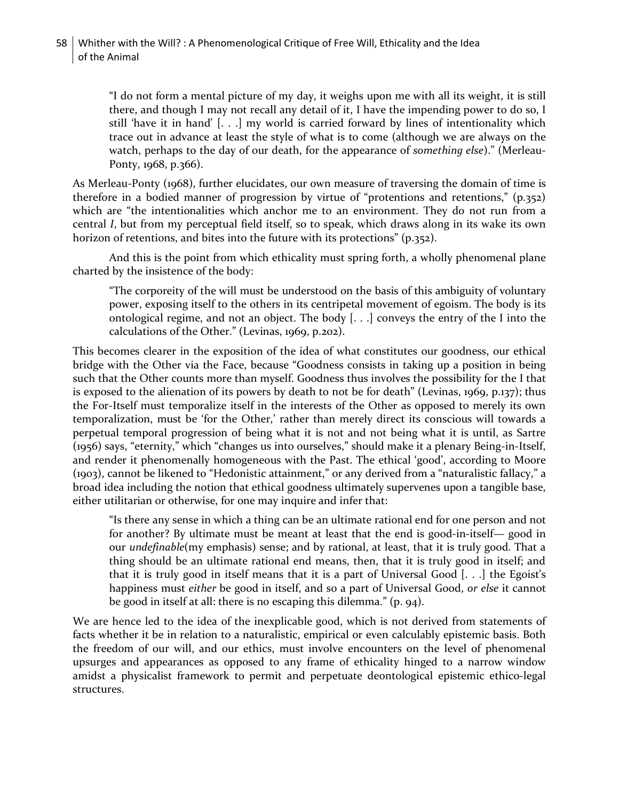"I do not form a mental picture of my day, it weighs upon me with all its weight, it is still there, and though I may not recall any detail of it, I have the impending power to do so, I still 'have it in hand' [. . .] my world is carried forward by lines of intentionality which trace out in advance at least the style of what is to come (although we are always on the watch, perhaps to the day of our death, for the appearance of *something else*)." (Merleau-Ponty, 1968, p.366).

As Merleau-Ponty (1968), further elucidates, our own measure of traversing the domain of time is therefore in a bodied manner of progression by virtue of "protentions and retentions," (p.352) which are "the intentionalities which anchor me to an environment. They do not run from a central *I*, but from my perceptual field itself, so to speak, which draws along in its wake its own horizon of retentions, and bites into the future with its protections" (p.352).

And this is the point from which ethicality must spring forth, a wholly phenomenal plane charted by the insistence of the body:

"The corporeity of the will must be understood on the basis of this ambiguity of voluntary power, exposing itself to the others in its centripetal movement of egoism. The body is its ontological regime, and not an object. The body [. . .] conveys the entry of the I into the calculations of the Other." (Levinas, 1969, p.202).

This becomes clearer in the exposition of the idea of what constitutes our goodness, our ethical bridge with the Other via the Face, because "Goodness consists in taking up a position in being such that the Other counts more than myself. Goodness thus involves the possibility for the I that is exposed to the alienation of its powers by death to not be for death" (Levinas, 1969, p.137); thus the For-Itself must temporalize itself in the interests of the Other as opposed to merely its own temporalization, must be 'for the Other,' rather than merely direct its conscious will towards a perpetual temporal progression of being what it is not and not being what it is until, as Sartre (1956) says, "eternity," which "changes us into ourselves," should make it a plenary Being-in-Itself, and render it phenomenally homogeneous with the Past. The ethical 'good', according to Moore (1903), cannot be likened to "Hedonistic attainment," or any derived from a "naturalistic fallacy," a broad idea including the notion that ethical goodness ultimately supervenes upon a tangible base, either utilitarian or otherwise, for one may inquire and infer that:

"Is there any sense in which a thing can be an ultimate rational end for one person and not for another? By ultimate must be meant at least that the end is good-in-itself— good in our *undefinable*(my emphasis) sense; and by rational, at least, that it is truly good. That a thing should be an ultimate rational end means, then, that it is truly good in itself; and that it is truly good in itself means that it is a part of Universal Good [. . .] the Egoist's happiness must *either* be good in itself, and so a part of Universal Good, *or else* it cannot be good in itself at all: there is no escaping this dilemma." (p. 94).

We are hence led to the idea of the inexplicable good, which is not derived from statements of facts whether it be in relation to a naturalistic, empirical or even calculably epistemic basis. Both the freedom of our will, and our ethics, must involve encounters on the level of phenomenal upsurges and appearances as opposed to any frame of ethicality hinged to a narrow window amidst a physicalist framework to permit and perpetuate deontological epistemic ethico-legal structures.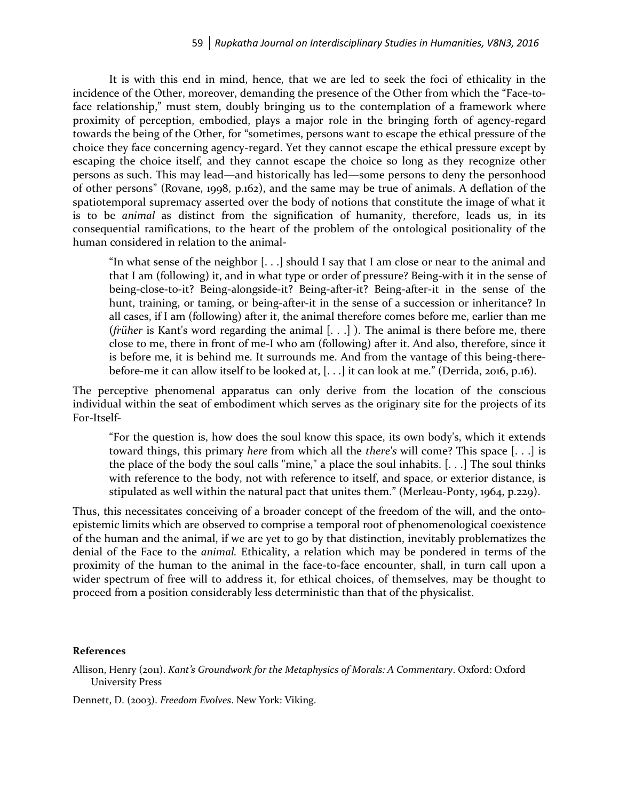It is with this end in mind, hence, that we are led to seek the foci of ethicality in the incidence of the Other, moreover, demanding the presence of the Other from which the "Face-toface relationship," must stem, doubly bringing us to the contemplation of a framework where proximity of perception, embodied, plays a major role in the bringing forth of agency-regard towards the being of the Other, for "sometimes, persons want to escape the ethical pressure of the choice they face concerning agency-regard. Yet they cannot escape the ethical pressure except by escaping the choice itself, and they cannot escape the choice so long as they recognize other persons as such. This may lead—and historically has led—some persons to deny the personhood of other persons" (Rovane, 1998, p.162), and the same may be true of animals. A deflation of the spatiotemporal supremacy asserted over the body of notions that constitute the image of what it is to be *animal* as distinct from the signification of humanity, therefore, leads us, in its consequential ramifications, to the heart of the problem of the ontological positionality of the human considered in relation to the animal-

"In what sense of the neighbor [. . .] should I say that I am close or near to the animal and that I am (following) it, and in what type or order of pressure? Being-with it in the sense of being-close-to-it? Being-alongside-it? Being-after-it? Being-after-it in the sense of the hunt, training, or taming, or being-after-it in the sense of a succession or inheritance? In all cases, if I am (following) after it, the animal therefore comes before me, earlier than me (*früher* is Kant's word regarding the animal [. . .] ). The animal is there before me, there close to me, there in front of me-I who am (following) after it. And also, therefore, since it is before me, it is behind me. It surrounds me. And from the vantage of this being-therebefore-me it can allow itself to be looked at, [. . .] it can look at me." (Derrida, 2016, p.16).

The perceptive phenomenal apparatus can only derive from the location of the conscious individual within the seat of embodiment which serves as the originary site for the projects of its For-Itself-

"For the question is, how does the soul know this space, its own body's, which it extends toward things, this primary *here* from which all the *there's* will come? This space [. . .] is the place of the body the soul calls "mine," a place the soul inhabits. [. . .] The soul thinks with reference to the body, not with reference to itself, and space, or exterior distance, is stipulated as well within the natural pact that unites them." (Merleau-Ponty, 1964, p.229).

Thus, this necessitates conceiving of a broader concept of the freedom of the will, and the ontoepistemic limits which are observed to comprise a temporal root of phenomenological coexistence of the human and the animal, if we are yet to go by that distinction, inevitably problematizes the denial of the Face to the *animal.* Ethicality, a relation which may be pondered in terms of the proximity of the human to the animal in the face-to-face encounter, shall, in turn call upon a wider spectrum of free will to address it, for ethical choices, of themselves, may be thought to proceed from a position considerably less deterministic than that of the physicalist.

## **References**

Allison, Henry (2011). *Kant's Groundwork for the Metaphysics of Morals: A Commentary*. Oxford: Oxford University Press

Dennett, D. (2003). *Freedom Evolves*. New York: Viking.